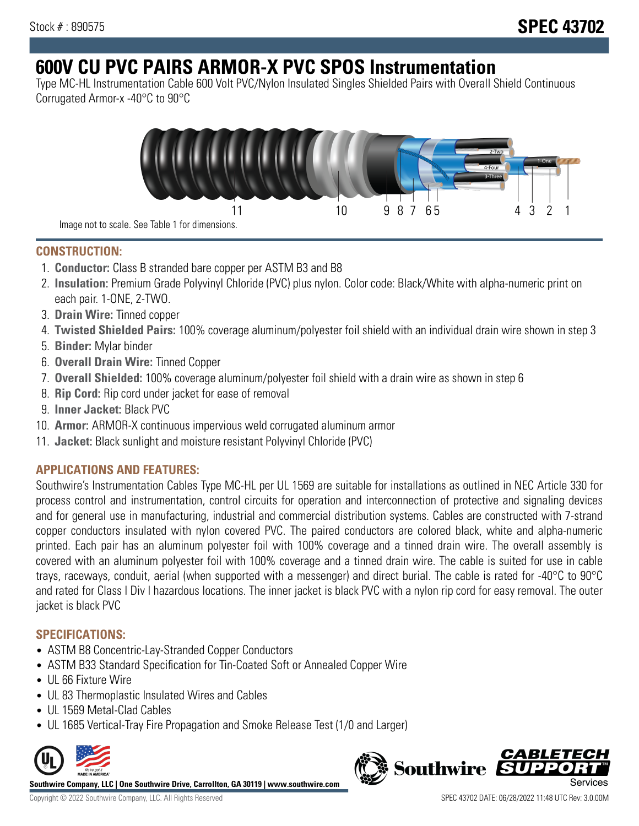# **600V CU PVC PAIRS ARMOR-X PVC SPOS Instrumentation**

Type MC-HL Instrumentation Cable 600 Volt PVC/Nylon Insulated Singles Shielded Pairs with Overall Shield Continuous Corrugated Armor-x -40°C to 90°C



Image not to scale. See Table 1 for dimensions.

## **CONSTRUCTION:**

- 1. **Conductor:** Class B stranded bare copper per ASTM B3 and B8
- 2. **Insulation:** Premium Grade Polyvinyl Chloride (PVC) plus nylon. Color code: Black/White with alpha-numeric print on each pair. 1-ONE, 2-TWO.
- 3. **Drain Wire:** Tinned copper
- 4. **Twisted Shielded Pairs:** 100% coverage aluminum/polyester foil shield with an individual drain wire shown in step 3
- 5. **Binder:** Mylar binder
- 6. **Overall Drain Wire:** Tinned Copper
- 7. **Overall Shielded:** 100% coverage aluminum/polyester foil shield with a drain wire as shown in step 6
- 8. **Rip Cord:** Rip cord under jacket for ease of removal
- 9. **Inner Jacket:** Black PVC
- 10. **Armor:** ARMOR-X continuous impervious weld corrugated aluminum armor
- 11. **Jacket:** Black sunlight and moisture resistant Polyvinyl Chloride (PVC)

## **APPLICATIONS AND FEATURES:**

Southwire's Instrumentation Cables Type MC-HL per UL 1569 are suitable for installations as outlined in NEC Article 330 for process control and instrumentation, control circuits for operation and interconnection of protective and signaling devices and for general use in manufacturing, industrial and commercial distribution systems. Cables are constructed with 7-strand copper conductors insulated with nylon covered PVC. The paired conductors are colored black, white and alpha-numeric printed. Each pair has an aluminum polyester foil with 100% coverage and a tinned drain wire. The overall assembly is covered with an aluminum polyester foil with 100% coverage and a tinned drain wire. The cable is suited for use in cable trays, raceways, conduit, aerial (when supported with a messenger) and direct burial. The cable is rated for -40°C to 90°C and rated for Class I Div I hazardous locations. The inner jacket is black PVC with a nylon rip cord for easy removal. The outer jacket is black PVC

## **SPECIFICATIONS:**

- ASTM B8 Concentric-Lay-Stranded Copper Conductors
- ASTM B33 Standard Specification for Tin-Coated Soft or Annealed Copper Wire
- UL 66 Fixture Wire
- UL 83 Thermoplastic Insulated Wires and Cables
- UL 1569 Metal-Clad Cables
- UL 1685 Vertical-Tray Fire Propagation and Smoke Release Test (1/0 and Larger)



**Southwire Company, LLC | One Southwire Drive, Carrollton, GA 30119 | www.southwire.com**